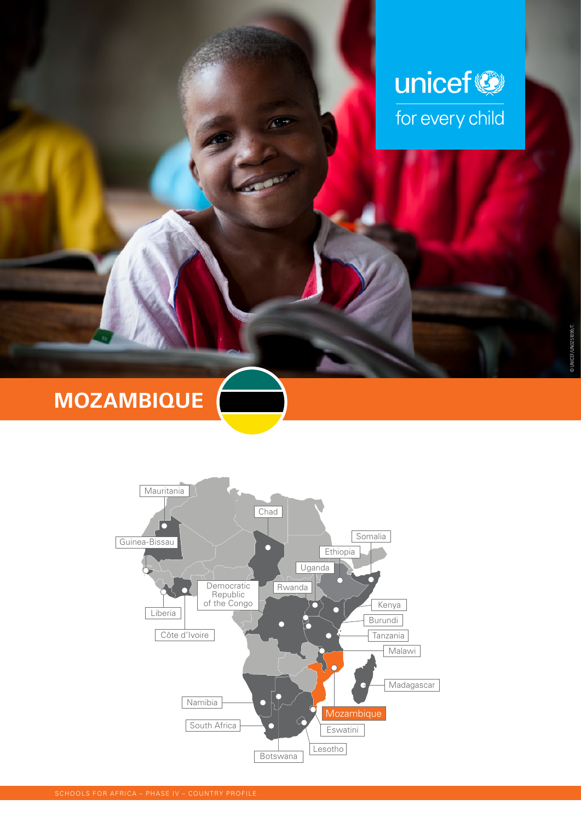

# **MOZAMBIQUE**

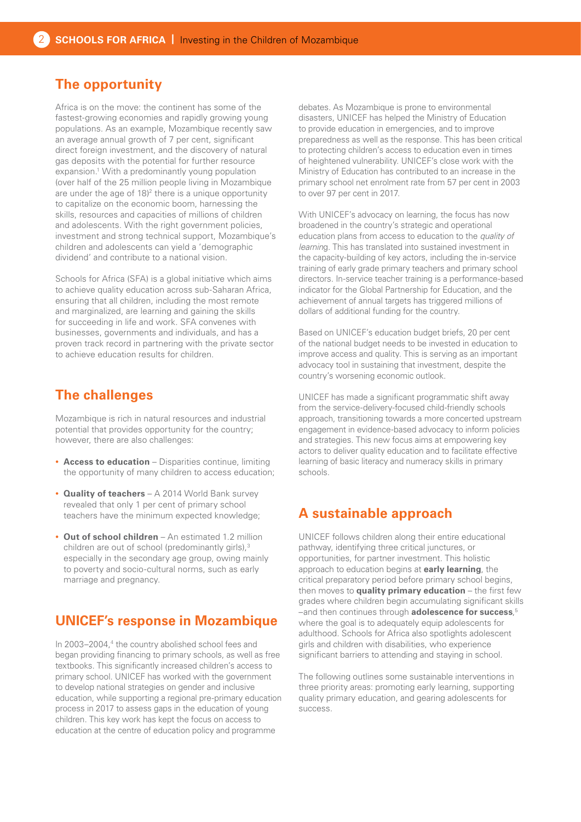# **The opportunity**

Africa is on the move: the continent has some of the fastest-growing economies and rapidly growing young populations. As an example, Mozambique recently saw an average annual growth of 7 per cent, significant direct foreign investment, and the discovery of natural gas deposits with the potential for further resource expansion.<sup>1</sup> With a predominantly young population (over half of the 25 million people living in Mozambique are under the age of 18)<sup>2</sup> there is a unique opportunity to capitalize on the economic boom, harnessing the skills, resources and capacities of millions of children and adolescents. With the right government policies, investment and strong technical support, Mozambique's children and adolescents can yield a 'demographic dividend' and contribute to a national vision.

Schools for Africa (SFA) is a global initiative which aims to achieve quality education across sub-Saharan Africa, ensuring that all children, including the most remote and marginalized, are learning and gaining the skills for succeeding in life and work. SFA convenes with businesses, governments and individuals, and has a proven track record in partnering with the private sector to achieve education results for children.

#### **The challenges**

Mozambique is rich in natural resources and industrial potential that provides opportunity for the country; however, there are also challenges:

- **Access to education** Disparities continue, limiting the opportunity of many children to access education;
- **Quality of teachers** A 2014 World Bank survey revealed that only 1 per cent of primary school teachers have the minimum expected knowledge;
- **Out of school children**  An estimated 1.2 million children are out of school (predominantly girls),<sup>3</sup> especially in the secondary age group, owing mainly to poverty and socio-cultural norms, such as early marriage and pregnancy.

## **UNICEF's response in Mozambique**

In 2003–2004,<sup>4</sup> the country abolished school fees and began providing financing to primary schools, as well as free textbooks. This significantly increased children's access to primary school. UNICEF has worked with the government to develop national strategies on gender and inclusive education, while supporting a regional pre-primary education process in 2017 to assess gaps in the education of young children. This key work has kept the focus on access to education at the centre of education policy and programme

debates. As Mozambique is prone to environmental disasters, UNICEF has helped the Ministry of Education to provide education in emergencies, and to improve preparedness as well as the response. This has been critical to protecting children's access to education even in times of heightened vulnerability. UNICEF's close work with the Ministry of Education has contributed to an increase in the primary school net enrolment rate from 57 per cent in 2003 to over 97 per cent in 2017.

With UNICEF's advocacy on learning, the focus has now broadened in the country's strategic and operational education plans from access to education to the *quality of learnin*g. This has translated into sustained investment in the capacity-building of key actors, including the in-service training of early grade primary teachers and primary school directors. In-service teacher training is a performance-based indicator for the Global Partnership for Education, and the achievement of annual targets has triggered millions of dollars of additional funding for the country.

Based on UNICEF's education budget briefs, 20 per cent of the national budget needs to be invested in education to improve access and quality. This is serving as an important advocacy tool in sustaining that investment, despite the country's worsening economic outlook.

UNICEF has made a significant programmatic shift away from the service-delivery-focused child-friendly schools approach, transitioning towards a more concerted upstream engagement in evidence-based advocacy to inform policies and strategies. This new focus aims at empowering key actors to deliver quality education and to facilitate effective learning of basic literacy and numeracy skills in primary schools.

## **A sustainable approach**

UNICEF follows children along their entire educational pathway, identifying three critical junctures, or opportunities, for partner investment. This holistic approach to education begins at **early learning**, the critical preparatory period before primary school begins, then moves to **quality primary education** – the first few grades where children begin accumulating significant skills –and then continues through **adolescence for success**, 5 where the goal is to adequately equip adolescents for adulthood. Schools for Africa also spotlights adolescent girls and children with disabilities, who experience significant barriers to attending and staying in school.

The following outlines some sustainable interventions in three priority areas: promoting early learning, supporting quality primary education, and gearing adolescents for success.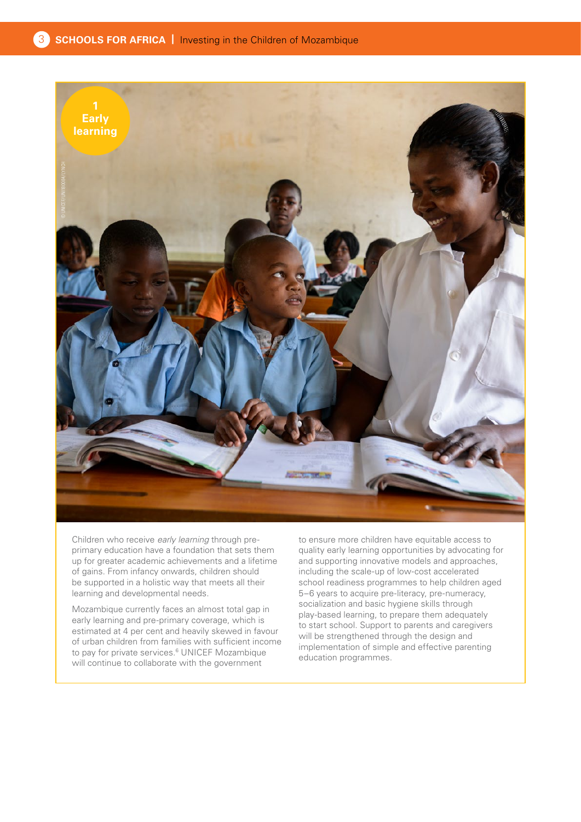

Children who receive *early learning* through preprimary education have a foundation that sets them up for greater academic achievements and a lifetime of gains. From infancy onwards, children should be supported in a holistic way that meets all their learning and developmental needs.

Mozambique currently faces an almost total gap in early learning and pre-primary coverage, which is estimated at 4 per cent and heavily skewed in favour of urban children from families with sufficient income to pay for private services.<sup>6</sup> UNICEF Mozambique will continue to collaborate with the government

to ensure more children have equitable access to quality early learning opportunities by advocating for and supporting innovative models and approaches, including the scale-up of low-cost accelerated school readiness programmes to help children aged 5–6 years to acquire pre-literacy, pre-numeracy, socialization and basic hygiene skills through play-based learning, to prepare them adequately to start school. Support to parents and caregivers will be strengthened through the design and implementation of simple and effective parenting education programmes.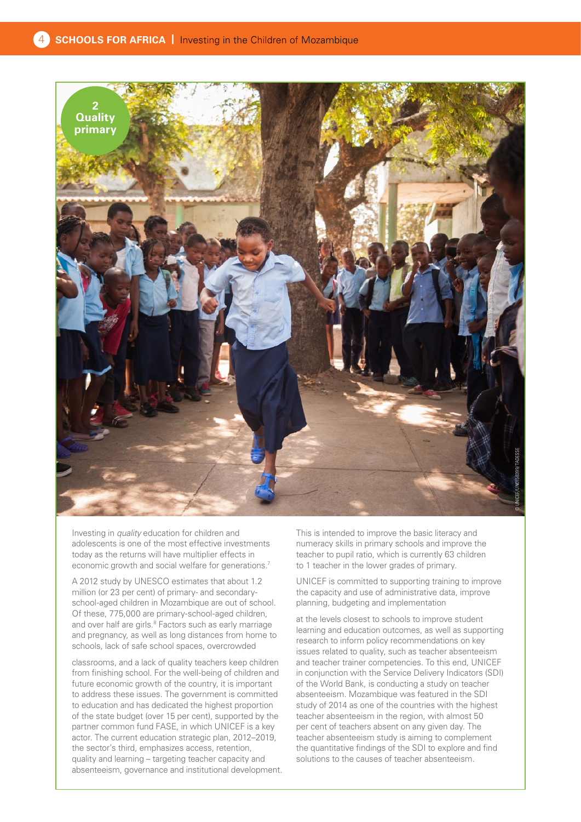

Investing in *quality* education for children and adolescents is one of the most effective investments today as the returns will have multiplier effects in economic growth and social welfare for generations.<sup>7</sup>

A 2012 study by UNESCO estimates that about 1.2 million (or 23 per cent) of primary- and secondaryschool-aged children in Mozambique are out of school. Of these, 775,000 are primary-school-aged children, and over half are girls.<sup>8</sup> Factors such as early marriage and pregnancy, as well as long distances from home to schools, lack of safe school spaces, overcrowded

classrooms, and a lack of quality teachers keep children from finishing school. For the well-being of children and future economic growth of the country, it is important to address these issues. The government is committed to education and has dedicated the highest proportion of the state budget (over 15 per cent), supported by the partner common fund FASE, in which UNICEF is a key actor. The current education strategic plan, 2012–2019, the sector's third, emphasizes access, retention, quality and learning – targeting teacher capacity and absenteeism, governance and institutional development. This is intended to improve the basic literacy and numeracy skills in primary schools and improve the teacher to pupil ratio, which is currently 63 children to 1 teacher in the lower grades of primary.

UNICEF is committed to supporting training to improve the capacity and use of administrative data, improve planning, budgeting and implementation

at the levels closest to schools to improve student learning and education outcomes, as well as supporting research to inform policy recommendations on key issues related to quality, such as teacher absenteeism and teacher trainer competencies. To this end, UNICEF in conjunction with the Service Delivery Indicators (SDI) of the World Bank, is conducting a study on teacher absenteeism. Mozambique was featured in the SDI study of 2014 as one of the countries with the highest teacher absenteeism in the region, with almost 50 per cent of teachers absent on any given day. The teacher absenteeism study is aiming to complement the quantitative findings of the SDI to explore and find solutions to the causes of teacher absenteeism.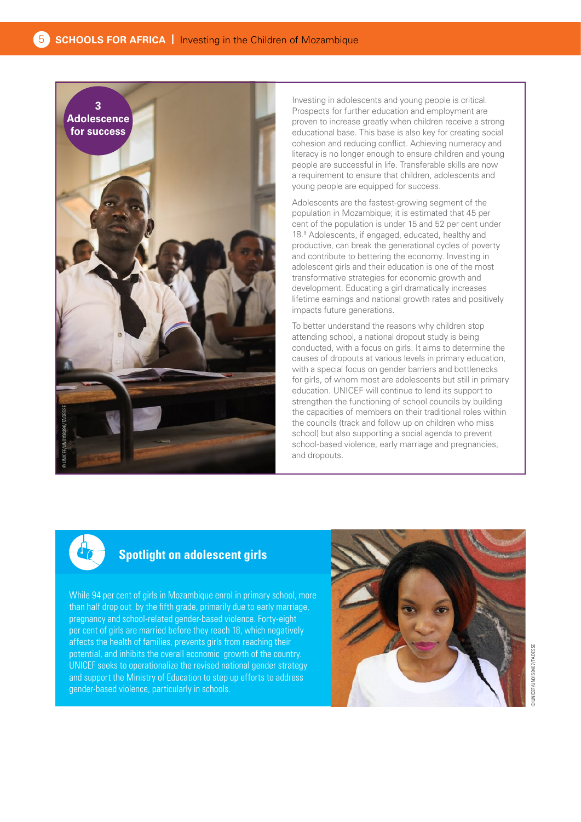

Investing in adolescents and young people is critical. Prospects for further education and employment are proven to increase greatly when children receive a strong educational base. This base is also key for creating social cohesion and reducing conflict. Achieving numeracy and literacy is no longer enough to ensure children and young people are successful in life. Transferable skills are now a requirement to ensure that children, adolescents and young people are equipped for success.

Adolescents are the fastest-growing segment of the population in Mozambique; it is estimated that 45 per cent of the population is under 15 and 52 per cent under 18.9 Adolescents, if engaged, educated, healthy and productive, can break the generational cycles of poverty and contribute to bettering the economy. Investing in adolescent girls and their education is one of the most transformative strategies for economic growth and development. Educating a girl dramatically increases lifetime earnings and national growth rates and positively impacts future generations.

To better understand the reasons why children stop attending school, a national dropout study is being conducted, with a focus on girls. It aims to determine the causes of dropouts at various levels in primary education, with a special focus on gender barriers and bottlenecks for girls, of whom most are adolescents but still in primary education. UNICEF will continue to lend its support to strengthen the functioning of school councils by building the capacities of members on their traditional roles within the councils (track and follow up on children who miss school) but also supporting a social agenda to prevent school-based violence, early marriage and pregnancies, and dropouts.



#### **Spotlight on adolescent girls**

While 94 per cent of girls in Mozambique enrol in primary school, more than half drop out by the fifth grade, primarily due to early marriage, pregnancy and school-related gender-based violence. Forty-eight per cent of girls are married before they reach 18, which negatively affects the health of families, prevents girls from reaching their potential, and inhibits the overall economic growth of the country. UNICEF seeks to operationalize the revised national gender strategy and support the Ministry of Education to step up efforts to address gender-based violence, particularly in schools.

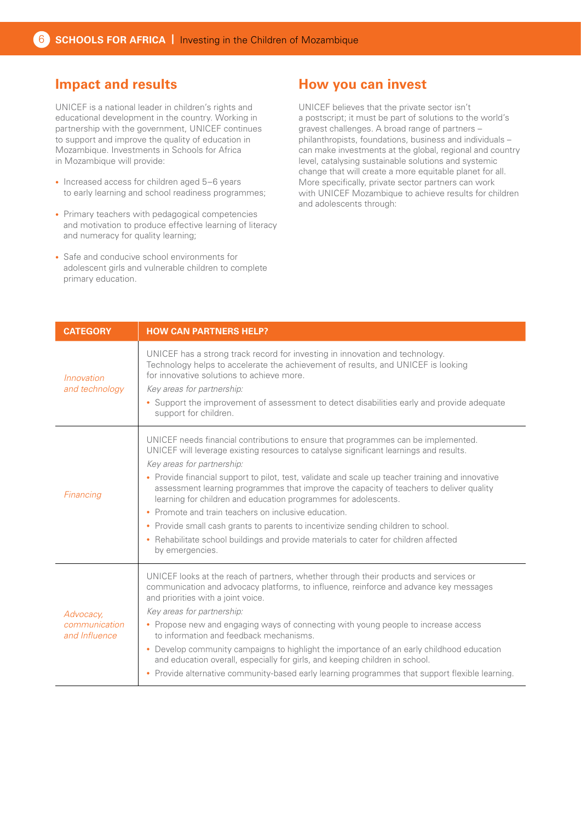# **Impact and results**

UNICEF is a national leader in children's rights and educational development in the country. Working in partnership with the government, UNICEF continues to support and improve the quality of education in Mozambique. Investments in Schools for Africa in Mozambique will provide:

- Increased access for children aged 5–6 years to early learning and school readiness programmes;
- Primary teachers with pedagogical competencies and motivation to produce effective learning of literacy and numeracy for quality learning;
- Safe and conducive school environments for adolescent girls and vulnerable children to complete primary education.

#### **How you can invest**

UNICEF believes that the private sector isn't a postscript; it must be part of solutions to the world's gravest challenges. A broad range of partners – philanthropists, foundations, business and individuals – can make investments at the global, regional and country level, catalysing sustainable solutions and systemic change that will create a more equitable planet for all. More specifically, private sector partners can work with UNICEF Mozambique to achieve results for children and adolescents through:

| <b>CATEGORY</b>                             | <b>HOW CAN PARTNERS HELP?</b>                                                                                                                                                                                                                                                                                                                                                                                                                                                                                                                                                                                                                                                                                                       |
|---------------------------------------------|-------------------------------------------------------------------------------------------------------------------------------------------------------------------------------------------------------------------------------------------------------------------------------------------------------------------------------------------------------------------------------------------------------------------------------------------------------------------------------------------------------------------------------------------------------------------------------------------------------------------------------------------------------------------------------------------------------------------------------------|
| Innovation<br>and technology                | UNICEF has a strong track record for investing in innovation and technology.<br>Technology helps to accelerate the achievement of results, and UNICEF is looking<br>for innovative solutions to achieve more.<br>Key areas for partnership:<br>• Support the improvement of assessment to detect disabilities early and provide adequate<br>support for children.                                                                                                                                                                                                                                                                                                                                                                   |
| Financing                                   | UNICEF needs financial contributions to ensure that programmes can be implemented.<br>UNICEF will leverage existing resources to catalyse significant learnings and results.<br>Key areas for partnership:<br>• Provide financial support to pilot, test, validate and scale up teacher training and innovative<br>assessment learning programmes that improve the capacity of teachers to deliver quality<br>learning for children and education programmes for adolescents.<br>Promote and train teachers on inclusive education.<br>• Provide small cash grants to parents to incentivize sending children to school.<br>• Rehabilitate school buildings and provide materials to cater for children affected<br>by emergencies. |
| Advocacy,<br>communication<br>and Influence | UNICEF looks at the reach of partners, whether through their products and services or<br>communication and advocacy platforms, to influence, reinforce and advance key messages<br>and priorities with a joint voice.<br>Key areas for partnership:<br>• Propose new and engaging ways of connecting with young people to increase access<br>to information and feedback mechanisms.<br>• Develop community campaigns to highlight the importance of an early childhood education<br>and education overall, especially for girls, and keeping children in school.<br>• Provide alternative community-based early learning programmes that support flexible learning.                                                                |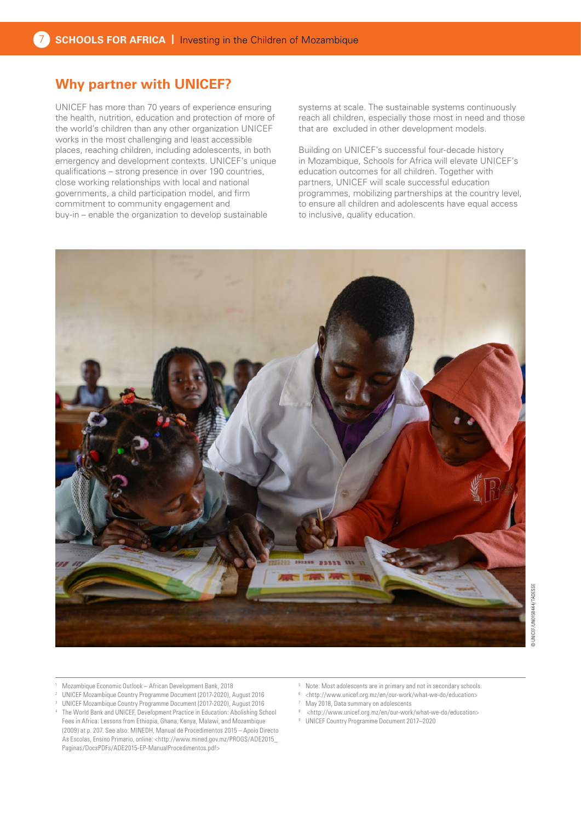## **Why partner with UNICEF?**

UNICEF has more than 70 years of experience ensuring the health, nutrition, education and protection of more of the world's children than any other organization UNICEF works in the most challenging and least accessible places, reaching children, including adolescents, in both emergency and development contexts. UNICEF's unique qualifications – strong presence in over 190 countries, close working relationships with local and national governments, a child participation model, and firm commitment to community engagement and buy-in – enable the organization to develop sustainable

systems at scale. The sustainable systems continuously reach all children, especially those most in need and those that are excluded in other development models.

Building on UNICEF's successful four-decade history in Mozambique, Schools for Africa will elevate UNICEF's education outcomes for all children. Together with partners, UNICEF will scale successful education programmes, mobilizing partnerships at the country level, to ensure all children and adolescents have equal access to inclusive, quality education.



- <sup>1</sup> Mozambique Economic Outlook African Development Bank, 2018
- <sup>2</sup> UNICEF Mozambique Country Programme Document (2017-2020), August 2016
- <sup>3</sup> UNICEF Mozambique Country Programme Document (2017-2020), August 2016
- The World Bank and UNICEF, Development Practice in Education: Abolishing School Fees in Africa: Lessons from Ethiopia, Ghana, Kenya, Malawi, and Mozambique (2009) at p. 207. See also: MINEDH, Manual de Procedimentos 2015 – Apoio Directo As Escolas, Ensino Primario, online: <[http://www.mined.gov.mz/PROGS/ADE2015\\_](http://www.mined.gov.mz/PROGS/ADE2015_Paginas/DocsPDFs/ADE2015-EP-ManualProcedimentos.pdf) [Paginas/DocsPDFs/ADE2015-EP-ManualProcedimentos.pdf](http://www.mined.gov.mz/PROGS/ADE2015_Paginas/DocsPDFs/ADE2015-EP-ManualProcedimentos.pdf)>
- <sup>5</sup> Note: Most adolescents are in primary and not in secondary schools.
- $6$  <[http://www.unicef.org.mz/en/our-work/what-we-do/education>](http://www.unicef.org.mz/en/our-work/what-we-do/education/ )<br> $7 \cdot \text{Mow 2018}$ . Data summary on edelegators
- May 2018, Data summary on adolescents
- $8$  <[http://www.unicef.org.mz/en/our-work/what-we-do/education>](http://www.unicef.org.mz/en/our-work/what-we-do/education/ )<br> $9$  UNICEE Country Programme Document 2017–2020
- <sup>9</sup> UNICEF Country Programme Document 2017–2020